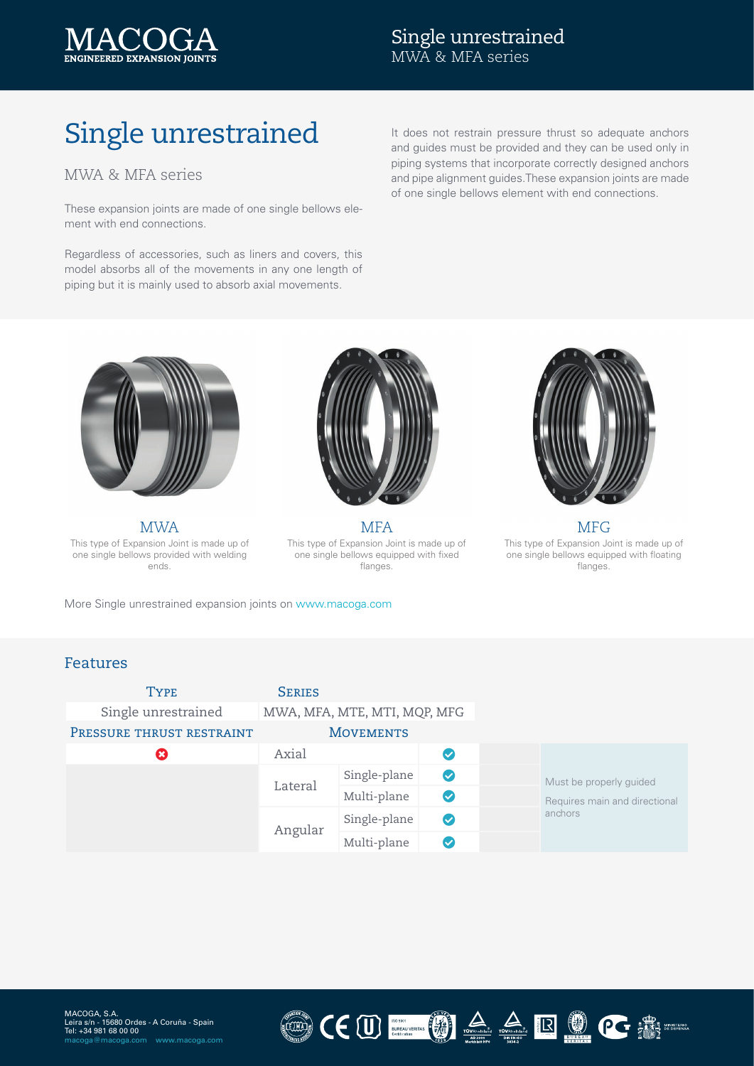

## Single unrestrained MWA & MFA series

# Single unrestrained

### MWA & MFA series

These expansion joints are made of one single bellows element with end connections.

Regardless of accessories, such as liners and covers, this model absorbs all of the movements in any one length of piping but it is mainly used to absorb axial movements.

It does not restrain pressure thrust so adequate anchors and guides must be provided and they can be used only in piping systems that incorporate correctly designed anchors and pipe alignment guides.These expansion joints are made of one single bellows element with end connections.



This type of Expansion Joint is made up of one single bellows provided with welding ends.



MWA MFA MEA This type of Expansion Joint is made up of one single bellows equipped with fixed flanges.



This type of Expansion Joint is made up of one single bellows equipped with floating flanges.

More Single unrestrained expansion joints on [www.macoga.com](http://www.macoga.com/products/metal-expansion-joints/single-unrestrained-expansion-joint)

#### Features

| <b>TYPE</b>               | <b>SERIES</b>                |              |                    |  |                                                                     |
|---------------------------|------------------------------|--------------|--------------------|--|---------------------------------------------------------------------|
| Single unrestrained       | MWA, MFA, MTE, MTI, MQP, MFG |              |                    |  |                                                                     |
| PRESSURE THRUST RESTRAINT | <b>MOVEMENTS</b>             |              |                    |  |                                                                     |
| $\boldsymbol{\mathsf{x}}$ | Axial                        |              |                    |  |                                                                     |
|                           | Lateral                      | Single-plane | $\bullet$          |  | Must be properly guided<br>Requires main and directional<br>anchors |
|                           |                              | Multi-plane  | $\checkmark$       |  |                                                                     |
|                           | Angular                      | Single-plane | $\bm{\bm{\omega}}$ |  |                                                                     |
|                           |                              | Multi-plane  |                    |  |                                                                     |

LUM)

CEU MARIE ROCE